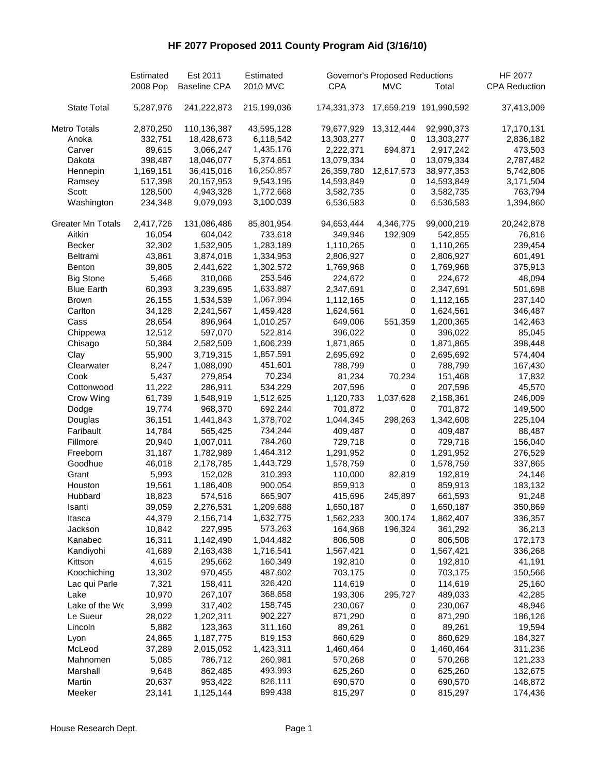## **HF 2077 Proposed 2011 County Program Aid (3/16/10)**

|                          | Est 2011<br>Estimated<br><b>Governor's Proposed Reductions</b><br>Estimated |                      |                      |                      |                        | <b>HF 2077</b>         |                      |
|--------------------------|-----------------------------------------------------------------------------|----------------------|----------------------|----------------------|------------------------|------------------------|----------------------|
|                          | 2008 Pop                                                                    | <b>Baseline CPA</b>  | 2010 MVC             | <b>CPA</b>           | <b>MVC</b>             | Total                  | <b>CPA Reduction</b> |
| <b>State Total</b>       | 5,287,976                                                                   | 241,222,873          | 215,199,036          | 174,331,373          |                        | 17,659,219 191,990,592 | 37,413,009           |
| <b>Metro Totals</b>      | 2,870,250                                                                   | 110,136,387          | 43,595,128           | 79,677,929           | 13,312,444             | 92,990,373             | 17,170,131           |
| Anoka                    | 332,751                                                                     | 18,428,673           | 6,118,542            | 13,303,277           | 0                      | 13,303,277             | 2,836,182            |
| Carver                   | 89,615                                                                      | 3,066,247            | 1,435,176            | 2,222,371            | 694,871                | 2,917,242              | 473,503              |
| Dakota                   | 398,487                                                                     | 18,046,077           | 5,374,651            | 13,079,334           | 0                      | 13,079,334             | 2,787,482            |
| Hennepin                 | 1,169,151                                                                   | 36,415,016           | 16,250,857           | 26,359,780           | 12,617,573             | 38,977,353             | 5,742,806            |
| Ramsey                   | 517,398                                                                     | 20,157,953           | 9,543,195            | 14,593,849           | 0                      | 14,593,849             | 3,171,504            |
| Scott                    | 128,500                                                                     | 4,943,328            | 1,772,668            | 3,582,735            | 0                      | 3,582,735              | 763,794              |
| Washington               | 234,348                                                                     | 9,079,093            | 3,100,039            | 6,536,583            | 0                      | 6,536,583              | 1,394,860            |
| <b>Greater Mn Totals</b> | 2,417,726                                                                   | 131,086,486          | 85,801,954           | 94,653,444           | 4,346,775              | 99,000,219             | 20,242,878           |
| Aitkin                   | 16,054                                                                      | 604,042              | 733,618              | 349,946              | 192,909                | 542,855                | 76,816               |
| Becker                   | 32,302                                                                      | 1,532,905            | 1,283,189            | 1,110,265            | 0                      | 1,110,265              | 239,454              |
| Beltrami                 | 43,861                                                                      | 3,874,018            | 1,334,953            | 2,806,927            | 0                      | 2,806,927              | 601,491              |
| <b>Benton</b>            | 39,805                                                                      | 2,441,622            | 1,302,572            | 1,769,968            | 0                      | 1,769,968              | 375,913              |
| <b>Big Stone</b>         | 5,466                                                                       | 310,066              | 253,546              | 224,672              | 0                      | 224,672                | 48,094               |
| <b>Blue Earth</b>        | 60,393                                                                      | 3,239,695            | 1,633,887            | 2,347,691            | 0                      | 2,347,691              | 501,698              |
| <b>Brown</b>             | 26,155                                                                      | 1,534,539            | 1,067,994            | 1,112,165            | 0                      | 1,112,165              | 237,140              |
| Carlton                  | 34,128                                                                      | 2,241,567            | 1,459,428            | 1,624,561            | 0                      | 1,624,561              | 346,487              |
| Cass                     | 28,654                                                                      | 896,964              | 1,010,257            | 649,006              | 551,359                | 1,200,365              | 142,463              |
| Chippewa                 | 12,512                                                                      | 597,070              | 522,814              | 396,022              | 0                      | 396,022                | 85,045               |
| Chisago                  | 50,384                                                                      | 2,582,509            | 1,606,239            | 1,871,865            | 0                      | 1,871,865              | 398,448              |
| Clay                     | 55,900                                                                      | 3,719,315            | 1,857,591            | 2,695,692            | 0                      | 2,695,692              | 574,404              |
| Clearwater               | 8,247                                                                       | 1,088,090            | 451,601              | 788,799              | $\pmb{0}$              | 788,799                | 167,430              |
| Cook                     | 5,437                                                                       | 279,854              | 70,234               | 81,234               | 70,234                 | 151,468                | 17,832               |
| Cottonwood               | 11,222                                                                      | 286,911              | 534,229              | 207,596              | 0                      | 207,596                | 45,570               |
| Crow Wing                | 61,739                                                                      | 1,548,919            | 1,512,625            | 1,120,733            | 1,037,628              | 2,158,361              | 246,009              |
| Dodge                    | 19,774                                                                      | 968,370              | 692,244              | 701,872              | 0                      | 701,872                | 149,500              |
| Douglas                  | 36,151                                                                      | 1,441,843            | 1,378,702            | 1,044,345            | 298,263                | 1,342,608              | 225,104              |
| Faribault                | 14,784                                                                      | 565,425              | 734,244              | 409,487              | 0                      | 409,487                | 88,487               |
| Fillmore                 | 20,940                                                                      | 1,007,011            | 784,260              | 729,718              | 0                      | 729,718                | 156,040              |
| Freeborn                 | 31,187                                                                      | 1,782,989            | 1,464,312            | 1,291,952            | 0                      | 1,291,952              | 276,529              |
| Goodhue                  | 46,018                                                                      | 2,178,785            | 1,443,729            | 1,578,759            | 0                      | 1,578,759              | 337,865              |
| Grant                    | 5,993                                                                       | 152,028              | 310,393              | 110,000              | 82,819                 | 192,819                |                      |
| Houston                  | 19,561                                                                      | 1,186,408            | 900,054              | 859,913              | 0                      | 859,913                | 24,146<br>183,132    |
| Hubbard                  |                                                                             |                      | 665,907              |                      |                        |                        | 91,248               |
| Isanti                   | 18,823                                                                      | 574,516<br>2,276,531 | 1,209,688            | 415,696<br>1,650,187 | 245,897<br>$\mathbf 0$ | 661,593<br>1,650,187   | 350,869              |
|                          | 39,059<br>44,379                                                            | 2,156,714            |                      | 1,562,233            |                        | 1,862,407              | 336,357              |
| Itasca<br>Jackson        | 10,842                                                                      | 227,995              | 1,632,775<br>573,263 | 164,968              | 300,174<br>196,324     | 361,292                | 36,213               |
| Kanabec                  |                                                                             |                      |                      |                      |                        |                        |                      |
|                          | 16,311                                                                      | 1,142,490            | 1,044,482            | 806,508              | 0                      | 806,508                | 172,173              |
| Kandiyohi                | 41,689                                                                      | 2,163,438            | 1,716,541            | 1,567,421            | 0                      | 1,567,421              | 336,268              |
| Kittson                  | 4,615                                                                       | 295,662              | 160,349              | 192,810              | 0                      | 192,810                | 41,191               |
| Koochiching              | 13,302                                                                      | 970,455              | 487,602              | 703,175              | 0                      | 703,175                | 150,566              |
| Lac qui Parle            | 7,321                                                                       | 158,411              | 326,420              | 114,619              | 0                      | 114,619                | 25,160               |
| Lake                     | 10,970                                                                      | 267,107              | 368,658              | 193,306              | 295,727                | 489,033                | 42,285               |
| Lake of the Wc           | 3,999                                                                       | 317,402              | 158,745              | 230,067              | 0                      | 230,067                | 48,946               |
| Le Sueur                 | 28,022                                                                      | 1,202,311            | 902,227              | 871,290              | 0                      | 871,290                | 186,126              |
| Lincoln                  | 5,882                                                                       | 123,363              | 311,160              | 89,261               | 0                      | 89,261                 | 19,594               |
| Lyon                     | 24,865                                                                      | 1,187,775            | 819,153              | 860,629              | 0                      | 860,629                | 184,327              |
| McLeod                   | 37,289                                                                      | 2,015,052            | 1,423,311            | 1,460,464            | 0                      | 1,460,464              | 311,236              |
| Mahnomen                 | 5,085                                                                       | 786,712              | 260,981              | 570,268              | 0                      | 570,268                | 121,233              |
| Marshall                 | 9,648                                                                       | 862,485              | 493,993              | 625,260              | 0                      | 625,260                | 132,675              |
| Martin                   | 20,637                                                                      | 953,422              | 826,111              | 690,570              | 0                      | 690,570                | 148,872              |
| Meeker                   | 23,141                                                                      | 1,125,144            | 899,438              | 815,297              | 0                      | 815,297                | 174,436              |